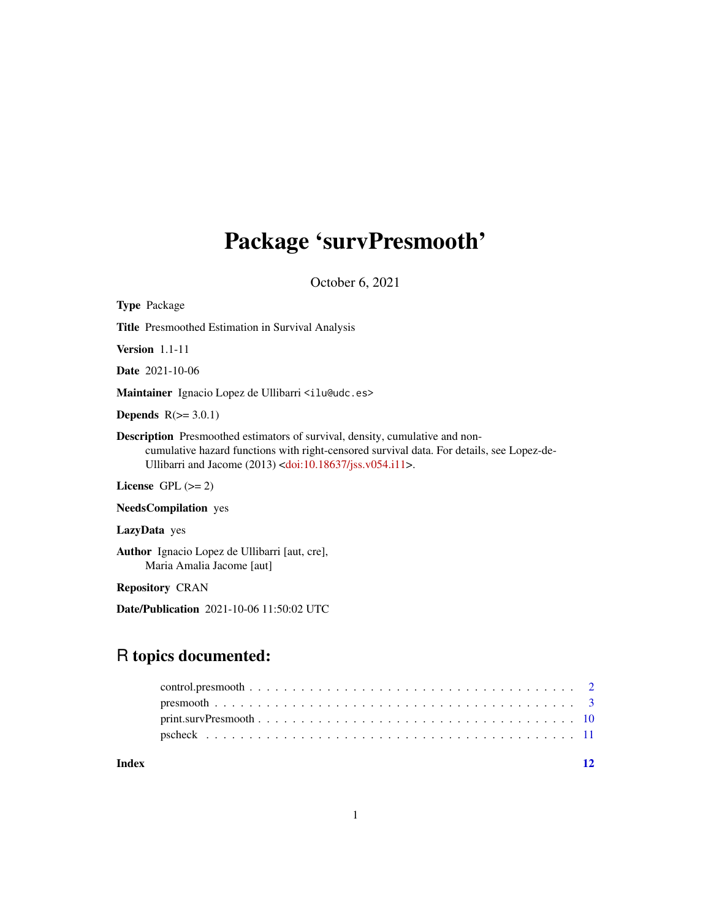# Package 'survPresmooth'

October 6, 2021

| <b>Type Package</b>                                                                                                                                                                                                                                              |
|------------------------------------------------------------------------------------------------------------------------------------------------------------------------------------------------------------------------------------------------------------------|
| <b>Title</b> Presmoothed Estimation in Survival Analysis                                                                                                                                                                                                         |
| <b>Version</b> $1.1-11$                                                                                                                                                                                                                                          |
| <b>Date</b> 2021-10-06                                                                                                                                                                                                                                           |
| Maintainer Ignacio Lopez de Ullibarri <ilu@udc.es></ilu@udc.es>                                                                                                                                                                                                  |
| <b>Depends</b> $R(>= 3.0.1)$                                                                                                                                                                                                                                     |
| <b>Description</b> Presmoothed estimators of survival, density, cumulative and non-<br>cumulative hazard functions with right-censored survival data. For details, see Lopez-de-<br>Ullibarri and Jacome $(2013)$ <doi:10.18637 jss.v054.i11="">.</doi:10.18637> |
| License $GPL (= 2)$                                                                                                                                                                                                                                              |
| <b>NeedsCompilation</b> yes                                                                                                                                                                                                                                      |
| LazyData yes                                                                                                                                                                                                                                                     |

Author Ignacio Lopez de Ullibarri [aut, cre], Maria Amalia Jacome [aut]

Repository CRAN

Date/Publication 2021-10-06 11:50:02 UTC

# R topics documented:

| Index |  |
|-------|--|
|       |  |
|       |  |
|       |  |
|       |  |

1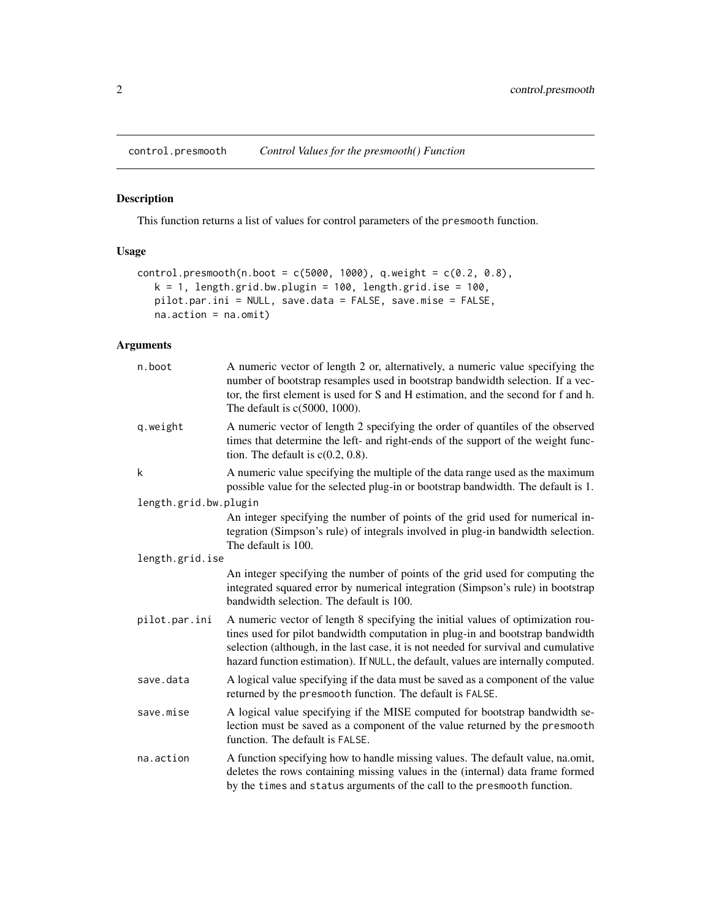<span id="page-1-1"></span><span id="page-1-0"></span>control.presmooth *Control Values for the presmooth() Function*

# Description

This function returns a list of values for control parameters of the presmooth function.

# Usage

```
control.presmooth(n.boot = c(5000, 1000), q. weight = c(0.2, 0.8),k = 1, length.grid.bw.plugin = 100, length.grid.ise = 100,
   pilot.par.ini = NULL, save.data = FALSE, save.mise = FALSE,
   na.action = na.omit)
```
# Arguments

| n.boot                | A numeric vector of length 2 or, alternatively, a numeric value specifying the<br>number of bootstrap resamples used in bootstrap bandwidth selection. If a vec-<br>tor, the first element is used for S and H estimation, and the second for f and h.<br>The default is $c(5000, 1000)$ .                                                    |
|-----------------------|-----------------------------------------------------------------------------------------------------------------------------------------------------------------------------------------------------------------------------------------------------------------------------------------------------------------------------------------------|
| q.weight              | A numeric vector of length 2 specifying the order of quantiles of the observed<br>times that determine the left- and right-ends of the support of the weight func-<br>tion. The default is $c(0.2, 0.8)$ .                                                                                                                                    |
| k                     | A numeric value specifying the multiple of the data range used as the maximum<br>possible value for the selected plug-in or bootstrap bandwidth. The default is 1.                                                                                                                                                                            |
| length.grid.bw.plugin |                                                                                                                                                                                                                                                                                                                                               |
|                       | An integer specifying the number of points of the grid used for numerical in-<br>tegration (Simpson's rule) of integrals involved in plug-in bandwidth selection.<br>The default is 100.                                                                                                                                                      |
| length.grid.ise       |                                                                                                                                                                                                                                                                                                                                               |
|                       | An integer specifying the number of points of the grid used for computing the<br>integrated squared error by numerical integration (Simpson's rule) in bootstrap<br>bandwidth selection. The default is 100.                                                                                                                                  |
| pilot.par.ini         | A numeric vector of length 8 specifying the initial values of optimization rou-<br>tines used for pilot bandwidth computation in plug-in and bootstrap bandwidth<br>selection (although, in the last case, it is not needed for survival and cumulative<br>hazard function estimation). If NULL, the default, values are internally computed. |
| save.data             | A logical value specifying if the data must be saved as a component of the value<br>returned by the presmooth function. The default is FALSE.                                                                                                                                                                                                 |
| save.mise             | A logical value specifying if the MISE computed for bootstrap bandwidth se-<br>lection must be saved as a component of the value returned by the presmooth<br>function. The default is FALSE.                                                                                                                                                 |
| na.action             | A function specifying how to handle missing values. The default value, na.omit,<br>deletes the rows containing missing values in the (internal) data frame formed<br>by the times and status arguments of the call to the presmooth function.                                                                                                 |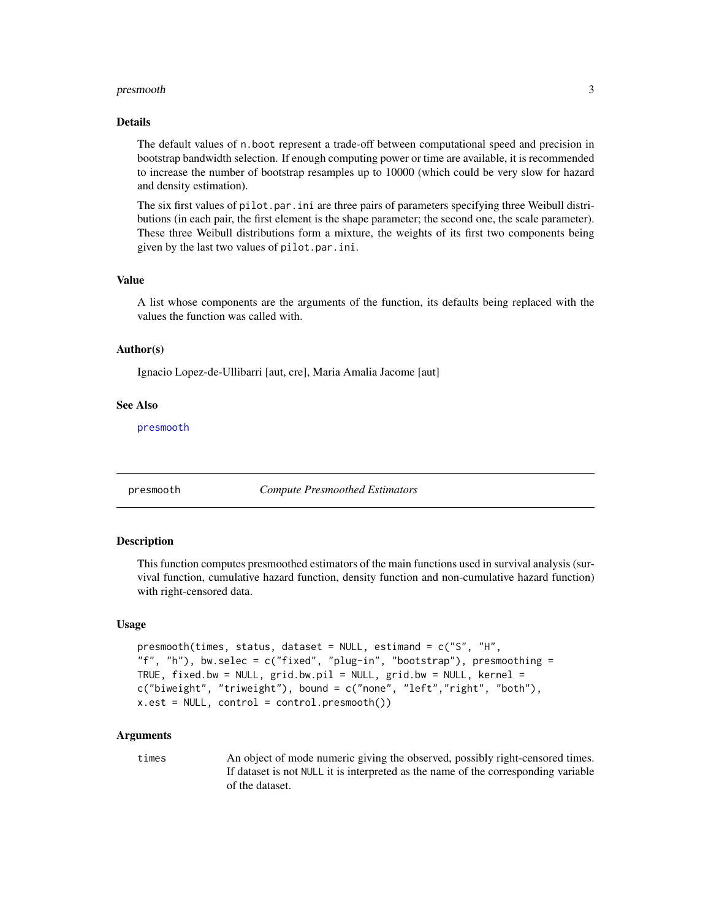#### <span id="page-2-0"></span>Details

The default values of n.boot represent a trade-off between computational speed and precision in bootstrap bandwidth selection. If enough computing power or time are available, it is recommended to increase the number of bootstrap resamples up to 10000 (which could be very slow for hazard and density estimation).

The six first values of pilot.par.ini are three pairs of parameters specifying three Weibull distributions (in each pair, the first element is the shape parameter; the second one, the scale parameter). These three Weibull distributions form a mixture, the weights of its first two components being given by the last two values of pilot.par.ini.

# Value

A list whose components are the arguments of the function, its defaults being replaced with the values the function was called with.

#### Author(s)

Ignacio Lopez-de-Ullibarri [aut, cre], Maria Amalia Jacome [aut]

#### See Also

[presmooth](#page-2-1)

<span id="page-2-1"></span>presmooth *Compute Presmoothed Estimators*

#### **Description**

This function computes presmoothed estimators of the main functions used in survival analysis (survival function, cumulative hazard function, density function and non-cumulative hazard function) with right-censored data.

#### Usage

```
presmooth(times, status, dataset = NULL, estimand = c("S", "H",
"f", "h"), bw.selec = c("fixed", "plug-in", "bootstrap"), presmoothing =
TRUE, fixed.bw = NULL, grid.bw.pil = NULL, grid.bw = NULL, kernel =c("biweight", "triweight"), bound = c("none", "left","right", "both"),
x.est = NULL, control = control.presmooth())
```
#### Arguments

times An object of mode numeric giving the observed, possibly right-censored times. If dataset is not NULL it is interpreted as the name of the corresponding variable of the dataset.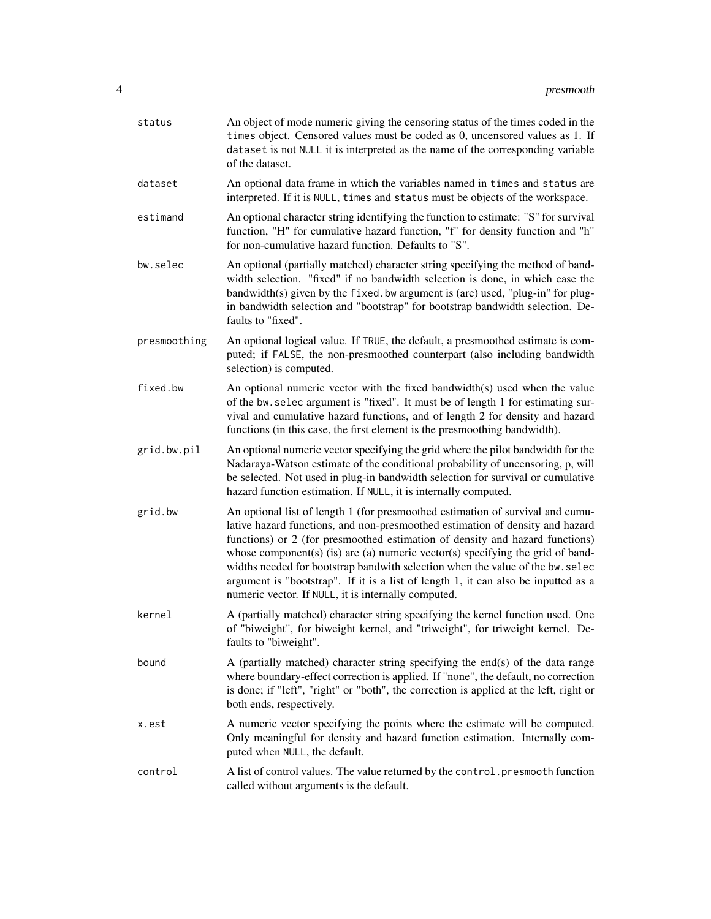| status       | An object of mode numeric giving the censoring status of the times coded in the<br>times object. Censored values must be coded as 0, uncensored values as 1. If<br>dataset is not NULL it is interpreted as the name of the corresponding variable<br>of the dataset.                                                                                                                                                                                                                                                                                            |
|--------------|------------------------------------------------------------------------------------------------------------------------------------------------------------------------------------------------------------------------------------------------------------------------------------------------------------------------------------------------------------------------------------------------------------------------------------------------------------------------------------------------------------------------------------------------------------------|
| dataset      | An optional data frame in which the variables named in times and status are<br>interpreted. If it is NULL, times and status must be objects of the workspace.                                                                                                                                                                                                                                                                                                                                                                                                    |
| estimand     | An optional character string identifying the function to estimate: "S" for survival<br>function, "H" for cumulative hazard function, "f" for density function and "h"<br>for non-cumulative hazard function. Defaults to "S".                                                                                                                                                                                                                                                                                                                                    |
| bw.selec     | An optional (partially matched) character string specifying the method of band-<br>width selection. "fixed" if no bandwidth selection is done, in which case the<br>bandwidth(s) given by the fixed. bw argument is (are) used, "plug-in" for plug-<br>in bandwidth selection and "bootstrap" for bootstrap bandwidth selection. De-<br>faults to "fixed".                                                                                                                                                                                                       |
| presmoothing | An optional logical value. If TRUE, the default, a presmoothed estimate is com-<br>puted; if FALSE, the non-presmoothed counterpart (also including bandwidth<br>selection) is computed.                                                                                                                                                                                                                                                                                                                                                                         |
| fixed.bw     | An optional numeric vector with the fixed bandwidth(s) used when the value<br>of the bw. selec argument is "fixed". It must be of length 1 for estimating sur-<br>vival and cumulative hazard functions, and of length 2 for density and hazard<br>functions (in this case, the first element is the presmoothing bandwidth).                                                                                                                                                                                                                                    |
| grid.bw.pil  | An optional numeric vector specifying the grid where the pilot bandwidth for the<br>Nadaraya-Watson estimate of the conditional probability of uncensoring, p, will<br>be selected. Not used in plug-in bandwidth selection for survival or cumulative<br>hazard function estimation. If NULL, it is internally computed.                                                                                                                                                                                                                                        |
| grid.bw      | An optional list of length 1 (for presmoothed estimation of survival and cumu-<br>lative hazard functions, and non-presmoothed estimation of density and hazard<br>functions) or 2 (for presmoothed estimation of density and hazard functions)<br>whose component(s) (is) are (a) numeric vector(s) specifying the grid of band-<br>widths needed for bootstrap bandwith selection when the value of the bw. selec<br>argument is "bootstrap". If it is a list of length 1, it can also be inputted as a<br>numeric vector. If NULL, it is internally computed. |
| kernel       | A (partially matched) character string specifying the kernel function used. One<br>of "biweight", for biweight kernel, and "triweight", for triweight kernel. De-<br>faults to "biweight".                                                                                                                                                                                                                                                                                                                                                                       |
| bound        | A (partially matched) character string specifying the end(s) of the data range<br>where boundary-effect correction is applied. If "none", the default, no correction<br>is done; if "left", "right" or "both", the correction is applied at the left, right or<br>both ends, respectively.                                                                                                                                                                                                                                                                       |
| x.est        | A numeric vector specifying the points where the estimate will be computed.<br>Only meaningful for density and hazard function estimation. Internally com-<br>puted when NULL, the default.                                                                                                                                                                                                                                                                                                                                                                      |
| control      | A list of control values. The value returned by the control. presmooth function<br>called without arguments is the default.                                                                                                                                                                                                                                                                                                                                                                                                                                      |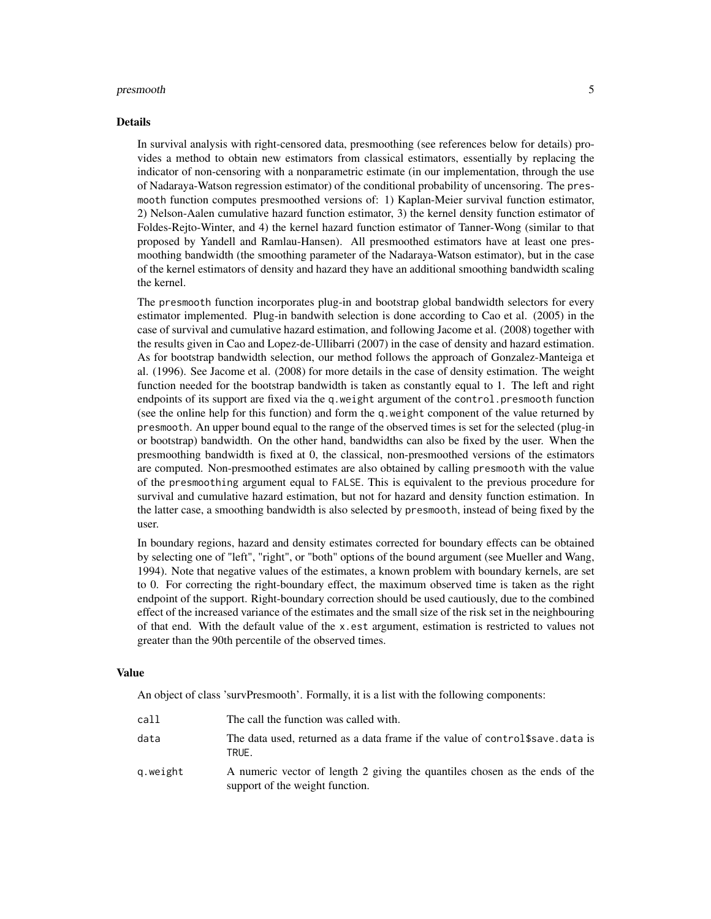#### Details

In survival analysis with right-censored data, presmoothing (see references below for details) provides a method to obtain new estimators from classical estimators, essentially by replacing the indicator of non-censoring with a nonparametric estimate (in our implementation, through the use of Nadaraya-Watson regression estimator) of the conditional probability of uncensoring. The presmooth function computes presmoothed versions of: 1) Kaplan-Meier survival function estimator, 2) Nelson-Aalen cumulative hazard function estimator, 3) the kernel density function estimator of Foldes-Rejto-Winter, and 4) the kernel hazard function estimator of Tanner-Wong (similar to that proposed by Yandell and Ramlau-Hansen). All presmoothed estimators have at least one presmoothing bandwidth (the smoothing parameter of the Nadaraya-Watson estimator), but in the case of the kernel estimators of density and hazard they have an additional smoothing bandwidth scaling the kernel.

The presmooth function incorporates plug-in and bootstrap global bandwidth selectors for every estimator implemented. Plug-in bandwith selection is done according to Cao et al. (2005) in the case of survival and cumulative hazard estimation, and following Jacome et al. (2008) together with the results given in Cao and Lopez-de-Ullibarri (2007) in the case of density and hazard estimation. As for bootstrap bandwidth selection, our method follows the approach of Gonzalez-Manteiga et al. (1996). See Jacome et al. (2008) for more details in the case of density estimation. The weight function needed for the bootstrap bandwidth is taken as constantly equal to 1. The left and right endpoints of its support are fixed via the q, weight argument of the control. presmooth function (see the online help for this function) and form the q.weight component of the value returned by presmooth. An upper bound equal to the range of the observed times is set for the selected (plug-in or bootstrap) bandwidth. On the other hand, bandwidths can also be fixed by the user. When the presmoothing bandwidth is fixed at 0, the classical, non-presmoothed versions of the estimators are computed. Non-presmoothed estimates are also obtained by calling presmooth with the value of the presmoothing argument equal to FALSE. This is equivalent to the previous procedure for survival and cumulative hazard estimation, but not for hazard and density function estimation. In the latter case, a smoothing bandwidth is also selected by presmooth, instead of being fixed by the user.

In boundary regions, hazard and density estimates corrected for boundary effects can be obtained by selecting one of "left", "right", or "both" options of the bound argument (see Mueller and Wang, 1994). Note that negative values of the estimates, a known problem with boundary kernels, are set to 0. For correcting the right-boundary effect, the maximum observed time is taken as the right endpoint of the support. Right-boundary correction should be used cautiously, due to the combined effect of the increased variance of the estimates and the small size of the risk set in the neighbouring of that end. With the default value of the x.est argument, estimation is restricted to values not greater than the 90th percentile of the observed times.

#### Value

An object of class 'survPresmooth'. Formally, it is a list with the following components:

| call     | The call the function was called with.                                                                         |
|----------|----------------------------------------------------------------------------------------------------------------|
| data     | The data used, returned as a data frame if the value of control \$ save. data is<br>TRUE.                      |
| q.weight | A numeric vector of length 2 giving the quantiles chosen as the ends of the<br>support of the weight function. |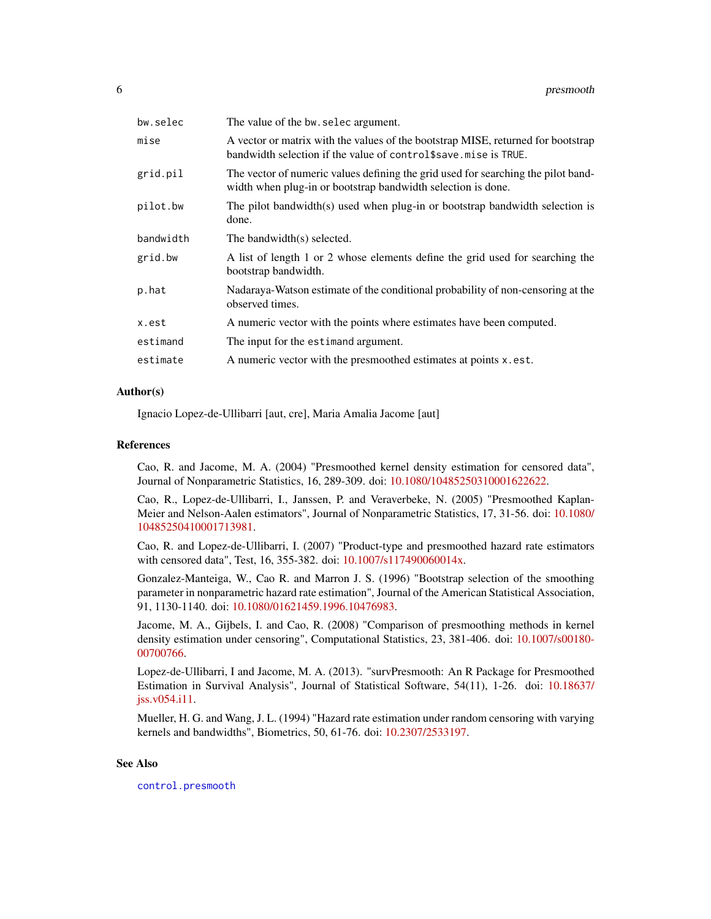<span id="page-5-0"></span>

| bw.selec  | The value of the bw. selec argument.                                                                                                                  |
|-----------|-------------------------------------------------------------------------------------------------------------------------------------------------------|
| mise      | A vector or matrix with the values of the bootstrap MISE, returned for bootstrap<br>bandwidth selection if the value of control \$save. mise is TRUE. |
| grid.pil  | The vector of numeric values defining the grid used for searching the pilot band-<br>width when plug-in or bootstrap bandwidth selection is done.     |
| pilot.bw  | The pilot bandwidth(s) used when plug-in or bootstrap bandwidth selection is<br>done.                                                                 |
| bandwidth | The bandwidth(s) selected.                                                                                                                            |
| grid.bw   | A list of length 1 or 2 whose elements define the grid used for searching the<br>bootstrap bandwidth.                                                 |
| p.hat     | Nadaraya-Watson estimate of the conditional probability of non-censoring at the<br>observed times.                                                    |
| x.est     | A numeric vector with the points where estimates have been computed.                                                                                  |
| estimand  | The input for the estimand argument.                                                                                                                  |
| estimate  | A numeric vector with the presmoothed estimates at points x.est.                                                                                      |
|           |                                                                                                                                                       |

#### Author(s)

Ignacio Lopez-de-Ullibarri [aut, cre], Maria Amalia Jacome [aut]

#### References

Cao, R. and Jacome, M. A. (2004) "Presmoothed kernel density estimation for censored data", Journal of Nonparametric Statistics, 16, 289-309. doi: [10.1080/10485250310001622622.](https://doi.org/10.1080/10485250310001622622)

Cao, R., Lopez-de-Ullibarri, I., Janssen, P. and Veraverbeke, N. (2005) "Presmoothed Kaplan-Meier and Nelson-Aalen estimators", Journal of Nonparametric Statistics, 17, 31-56. doi: [10.1080/](https://doi.org/10.1080/10485250410001713981) [10485250410001713981.](https://doi.org/10.1080/10485250410001713981)

Cao, R. and Lopez-de-Ullibarri, I. (2007) "Product-type and presmoothed hazard rate estimators with censored data", Test, 16, 355-382. doi: [10.1007/s117490060014x.](https://doi.org/10.1007/s11749-006-0014-x)

Gonzalez-Manteiga, W., Cao R. and Marron J. S. (1996) "Bootstrap selection of the smoothing parameter in nonparametric hazard rate estimation", Journal of the American Statistical Association, 91, 1130-1140. doi: [10.1080/01621459.1996.10476983.](https://doi.org/10.1080/01621459.1996.10476983)

Jacome, M. A., Gijbels, I. and Cao, R. (2008) "Comparison of presmoothing methods in kernel density estimation under censoring", Computational Statistics, 23, 381-406. doi: [10.1007/s00180-](https://doi.org/10.1007/s00180-007-0076-6) [00700766.](https://doi.org/10.1007/s00180-007-0076-6)

Lopez-de-Ullibarri, I and Jacome, M. A. (2013). "survPresmooth: An R Package for Presmoothed Estimation in Survival Analysis", Journal of Statistical Software, 54(11), 1-26. doi: [10.18637/](https://doi.org/10.18637/jss.v054.i11) [jss.v054.i11.](https://doi.org/10.18637/jss.v054.i11)

Mueller, H. G. and Wang, J. L. (1994) "Hazard rate estimation under random censoring with varying kernels and bandwidths", Biometrics, 50, 61-76. doi: [10.2307/2533197.](https://doi.org/10.2307/2533197)

# See Also

[control.presmooth](#page-1-1)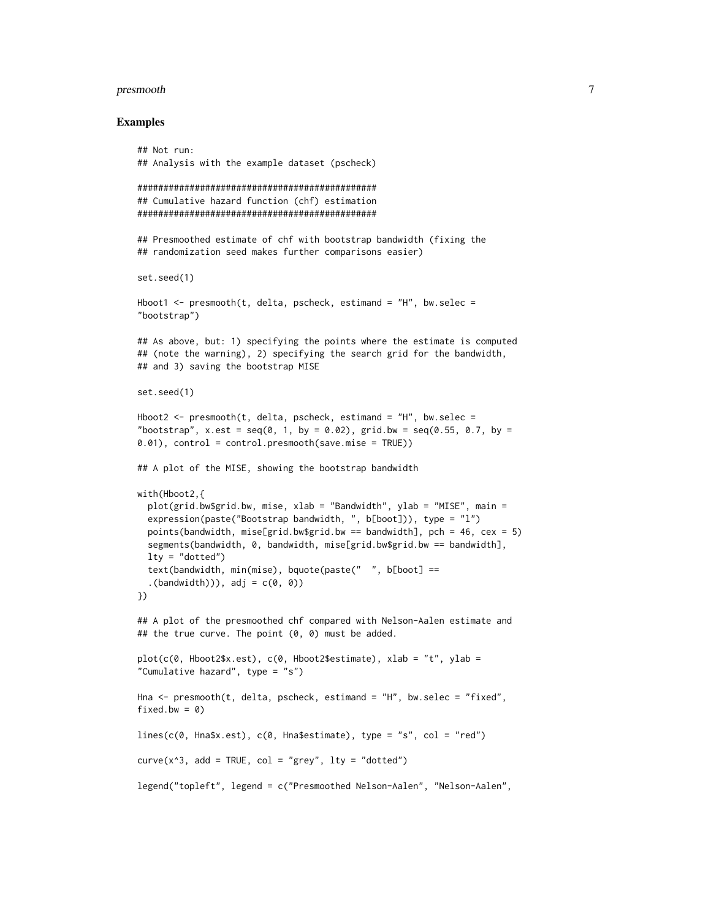#### Examples

```
## Not run:
## Analysis with the example dataset (pscheck)
##############################################
## Cumulative hazard function (chf) estimation
##############################################
## Presmoothed estimate of chf with bootstrap bandwidth (fixing the
## randomization seed makes further comparisons easier)
set.seed(1)
Hboot1 \leq presmooth(t, delta, pscheck, estimand = "H", bw.selec =
"bootstrap")
## As above, but: 1) specifying the points where the estimate is computed
## (note the warning), 2) specifying the search grid for the bandwidth,
## and 3) saving the bootstrap MISE
set.seed(1)
Hboot2 \leq presmooth(t, delta, pscheck, estimand = "H", bw.selec =
"bootstrap", x.est = seq(0, 1, by = 0.02), grid.bw = seq(0.55, 0.7, by =0.01), control = control.presmooth(save.mise = TRUE))
## A plot of the MISE, showing the bootstrap bandwidth
with(Hboot2,{
 plot(grid.bw$grid.bw, mise, xlab = "Bandwidth", ylab = "MISE", main =
 expression(paste("Bootstrap bandwidth, ", b[boot])), type = "l")
 points(bandwidth, mise[grid.bw$grid.bw == bandwidth], pch = 46, cex = 5)
 segments(bandwidth, 0, bandwidth, mise[grid.bw$grid.bw == bandwidth],
 lty = "dotted")text(bandwidth, min(mise), bquote(paste(" ", b[boot] ==
  . (bandwidth))), adj = c(\theta, \theta))
})
## A plot of the presmoothed chf compared with Nelson-Aalen estimate and
## the true curve. The point (0, 0) must be added.
plot(c(\theta, Hboot2$x.est), c(\theta, Hboot2$estimate), xlab = "t", ylab ="Cumulative hazard", type = "s")
Hna <- presmooth(t, delta, pscheck, estimand = "H", bw.selec = "fixed",
fixed.bw = 0)
lines(c(0, Hna$x.est), c(0, Hna$estimate), type = "s", col = "red")
curve(x^3, add = TRUE, col = "grey", lty = "dotted")
legend("topleft", legend = c("Presmoothed Nelson-Aalen", "Nelson-Aalen",
```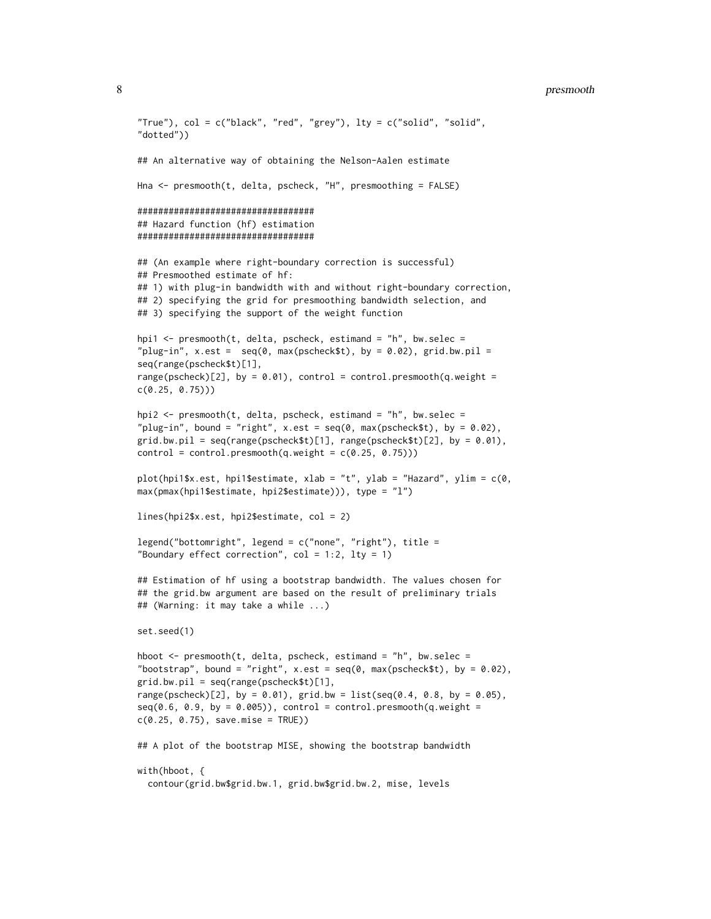```
"True"), col = c("black", "red", "grey"), \; lty = c("solid", "solid","dotted"))
## An alternative way of obtaining the Nelson-Aalen estimate
Hna <- presmooth(t, delta, pscheck, "H", presmoothing = FALSE)
##################################
## Hazard function (hf) estimation
##################################
## (An example where right-boundary correction is successful)
## Presmoothed estimate of hf:
## 1) with plug-in bandwidth with and without right-boundary correction,
## 2) specifying the grid for presmoothing bandwidth selection, and
## 3) specifying the support of the weight function
hpi1 <- presmooth(t, delta, pscheck, estimand = "h", bw.selec =
"plug-in", x.est = seq(0, max(pscheckSt), by = 0.02), grid.bw.pil =
seq(range(pscheck$t)[1],
range(pscheck)[2], by = 0.01), control = control.presmooth(q.weight =
c(0.25, 0.75)))
hpi2 <- presmooth(t, delta, pscheck, estimand = "h", bw.selec =
"plug-in", bound = "right", x.est = seq(0, max(pscheck $t), by = 0.02),
grid.bw.pil = seq(range(pscheck$t)[1], range(pscheck$t)[2], by = 0.01),
control = control.presmooth(q.weight = c(0.25, 0.75))plot(hpi1$x.est, hpi1$estimate, xlab = "t", ylab = "Hazard", ylim = c(0,
max(pmax(hpi1$estimate, hpi2$estimate))), type = "l")
lines(hpi2$x.est, hpi2$estimate, col = 2)
legend('bottomright", legend = c("none", "right"), title ="Boundary effect correction", col = 1:2, lty = 1)
## Estimation of hf using a bootstrap bandwidth. The values chosen for
## the grid.bw argument are based on the result of preliminary trials
## (Warning: it may take a while ...)
set.seed(1)
hboot \leq presmooth(t, delta, pscheck, estimand = "h", bw.selec =
"bootstrap", bound = "right", x.est = seq(0, max(pscheck$t), by = 0.02),
grid.bw.pil = seq(range(pscheck$t)[1],
range(pscheck)[2], by = 0.01), grid.bw = list(seq(0.4, 0.8, by = 0.05),seq(0.6, 0.9, by = 0.005), control = control.presmooth(q.weight =
c(0.25, 0.75), save.mise = TRUE))
## A plot of the bootstrap MISE, showing the bootstrap bandwidth
with(hboot, {
  contour(grid.bw$grid.bw.1, grid.bw$grid.bw.2, mise, levels
```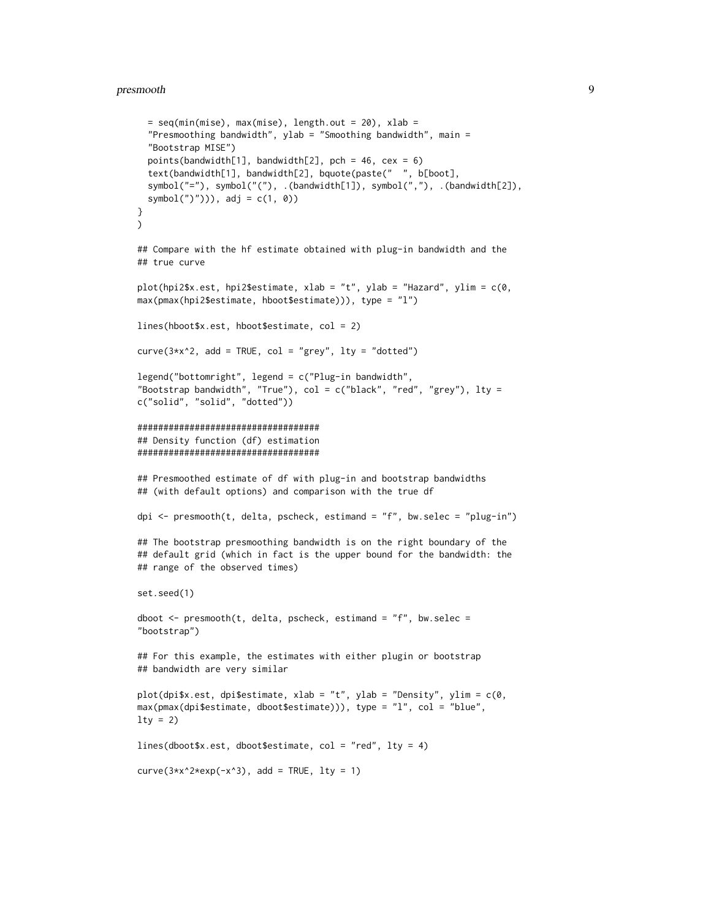```
= seq(min(mise), max(mise), length.out = 20), xlab =
  "Presmoothing bandwidth", ylab = "Smoothing bandwidth", main =
  "Bootstrap MISE")
  points(bandwidth[1], bandwidth[2], pch = 46, cex = 6)
  text(bandwidth[1], bandwidth[2], bquote(paste(" ", b[boot],
  symbol("="), symbol("("), .(bandwidth[1]), symbol(","), .(bandwidth[2]),
  symbol('')'')), adj = c(1, 0)}
\lambda## Compare with the hf estimate obtained with plug-in bandwidth and the
## true curve
plot(hpi2$x.est, hpi2$estimate, xlab = "t", ylab = "Hazard", ylim = c(0,
max(pmax(hpi2$estimate, hboot$estimate))), type = "l")
lines(hboot$x.est, hboot$estimate, col = 2)
curve(3*x^2, add = TRUE, col = "grey", lty = "dotted")
legend("bottomright", legend = c("Plug-in bandwidth",
"Bootstrap bandwidth", "True"), col = c("black", "red", "grey"), lty =
c("solid", "solid", "dotted"))
###################################
## Density function (df) estimation
###################################
## Presmoothed estimate of df with plug-in and bootstrap bandwidths
## (with default options) and comparison with the true df
dpi <- presmooth(t, delta, pscheck, estimand = "f", bw.selec = "plug-in")## The bootstrap presmoothing bandwidth is on the right boundary of the
## default grid (which in fact is the upper bound for the bandwidth: the
## range of the observed times)
set.seed(1)
dboot \leq presmooth(t, delta, pscheck, estimand = "f", bw.selec =
"bootstrap")
## For this example, the estimates with either plugin or bootstrap
## bandwidth are very similar
plot(dpi$x.est, dpi$estimate, xlab = "t", ylab = "Density", ylim = c(0,
max(pmax(dpi$estimate, dboot$estimate))), type = "l", col = "blue",
lty = 2lines(dboot$x.est, dboot$estimate, col = "red", lty = 4)
curve(3*x^2*exp(-x^3), add = TRUE, lty = 1)
```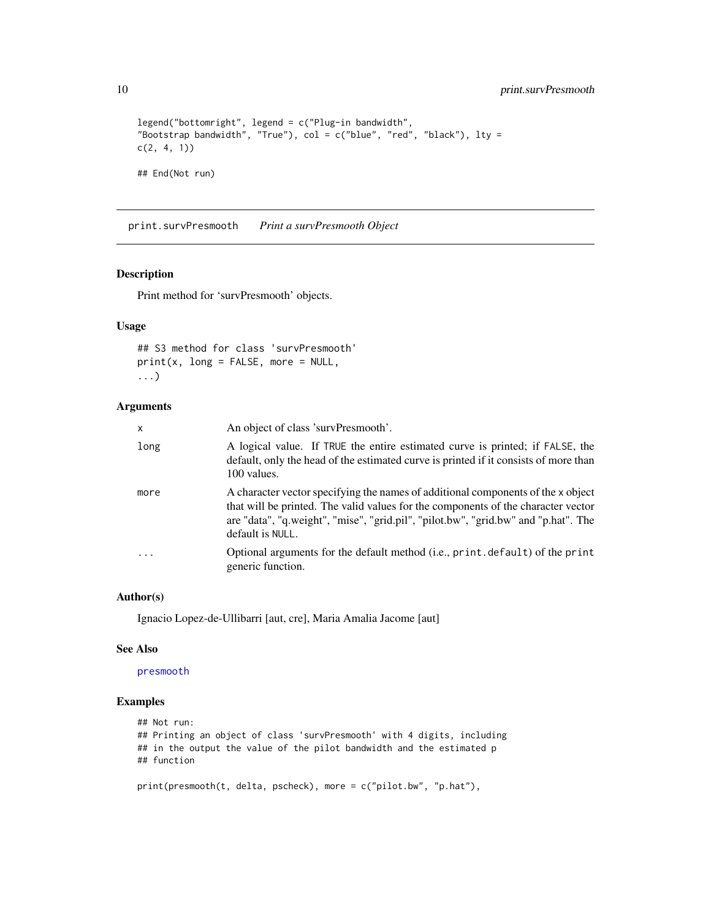```
legend("bottomright", legend = c("Plug-in bandwidth",
"Bootstrap bandwidth", "True"), col = c("blue", "red", "black"), lty =
c(2, 4, 1)## End(Not run)
```
print.survPresmooth *Print a survPresmooth Object*

# Description

Print method for 'survPresmooth' objects.

# Usage

```
## S3 method for class 'survPresmooth'
print(x, long = FALSE, more = NULL,...)
```
#### Arguments

| $\times$ | An object of class 'survPresmooth'.                                                                                                                                                                                                                                             |
|----------|---------------------------------------------------------------------------------------------------------------------------------------------------------------------------------------------------------------------------------------------------------------------------------|
| long     | A logical value. If TRUE the entire estimated curve is printed; if FALSE, the<br>default, only the head of the estimated curve is printed if it consists of more than<br>100 values.                                                                                            |
| more     | A character vector specifying the names of additional components of the x object<br>that will be printed. The valid values for the components of the character vector<br>are "data", "q.weight", "mise", "grid.pil", "pilot.bw", "grid.bw" and "p.hat". The<br>default is NULL. |
|          | Optional arguments for the default method (i.e., print.default) of the print<br>generic function.                                                                                                                                                                               |

#### Author(s)

Ignacio Lopez-de-Ullibarri [aut, cre], Maria Amalia Jacome [aut]

#### See Also

## [presmooth](#page-2-1)

## Examples

```
## Not run:
## Printing an object of class 'survPresmooth' with 4 digits, including
## in the output the value of the pilot bandwidth and the estimated p
## function
```
print(presmooth(t, delta, pscheck), more = c("pilot.bw", "p.hat"),

<span id="page-9-0"></span>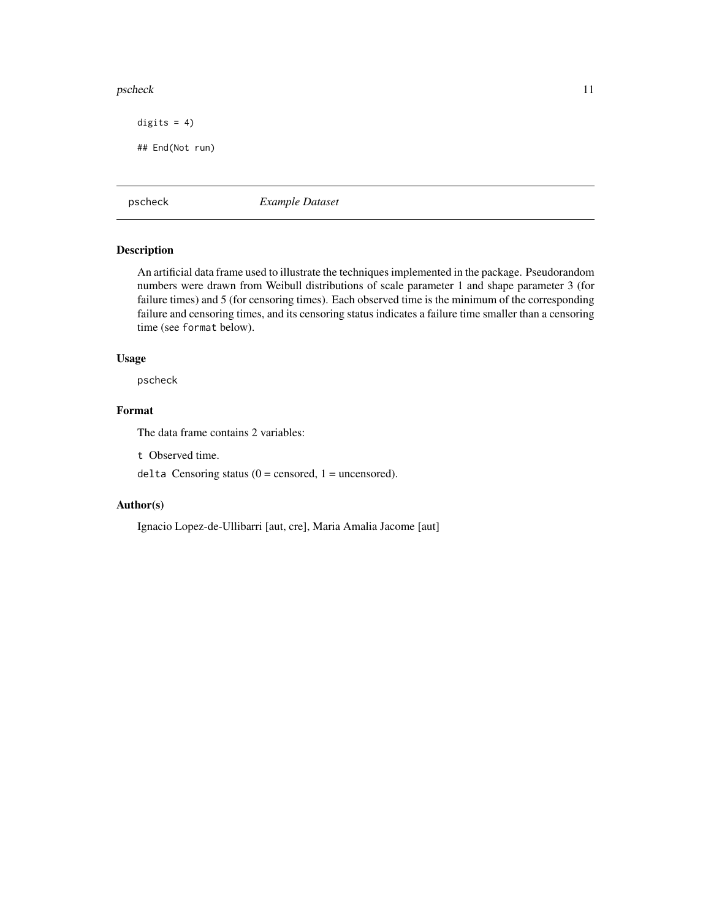#### <span id="page-10-0"></span>pscheck the contract of the contract of the contract of the contract of the contract of the contract of the contract of the contract of the contract of the contract of the contract of the contract of the contract of the co

digits  $= 4$ )

## End(Not run)

pscheck *Example Dataset*

# Description

An artificial data frame used to illustrate the techniques implemented in the package. Pseudorandom numbers were drawn from Weibull distributions of scale parameter 1 and shape parameter 3 (for failure times) and 5 (for censoring times). Each observed time is the minimum of the corresponding failure and censoring times, and its censoring status indicates a failure time smaller than a censoring time (see format below).

# Usage

pscheck

# Format

The data frame contains 2 variables:

t Observed time.

delta Censoring status ( $0 =$  censored,  $1 =$  uncensored).

# Author(s)

Ignacio Lopez-de-Ullibarri [aut, cre], Maria Amalia Jacome [aut]